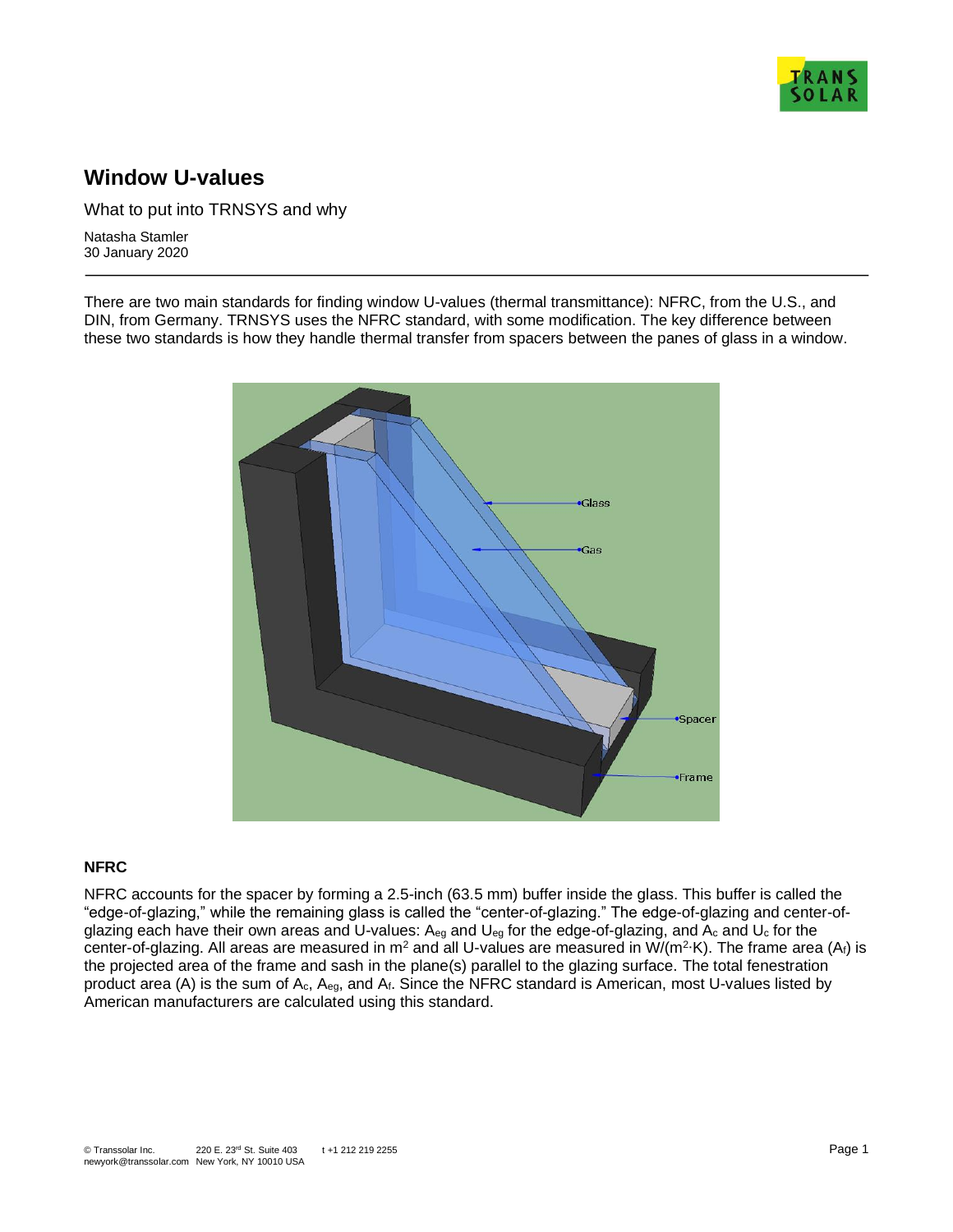

# **Window U-values**

What to put into TRNSYS and why

Natasha Stamler 30 January 2020

There are two main standards for finding window U-values (thermal transmittance): NFRC, from the U.S., and DIN, from Germany. TRNSYS uses the NFRC standard, with some modification. The key difference between these two standards is how they handle thermal transfer from spacers between the panes of glass in a window.



#### **NFRC**

NFRC accounts for the spacer by forming a 2.5-inch (63.5 mm) buffer inside the glass. This buffer is called the "edge-of-glazing," while the remaining glass is called the "center-of-glazing." The edge-of-glazing and center-ofglazing each have their own areas and U-values: Aeg and Ueg for the edge-of-glazing, and Ac and Uc for the center-of-glazing. All areas are measured in m<sup>2</sup> and all U-values are measured in W/(m<sup>2</sup>·K). The frame area (A<sub>f</sub>) is the projected area of the frame and sash in the plane(s) parallel to the glazing surface. The total fenestration product area (A) is the sum of Ac, Aeg, and Af. Since the NFRC standard is American, most U-values listed by American manufacturers are calculated using this standard.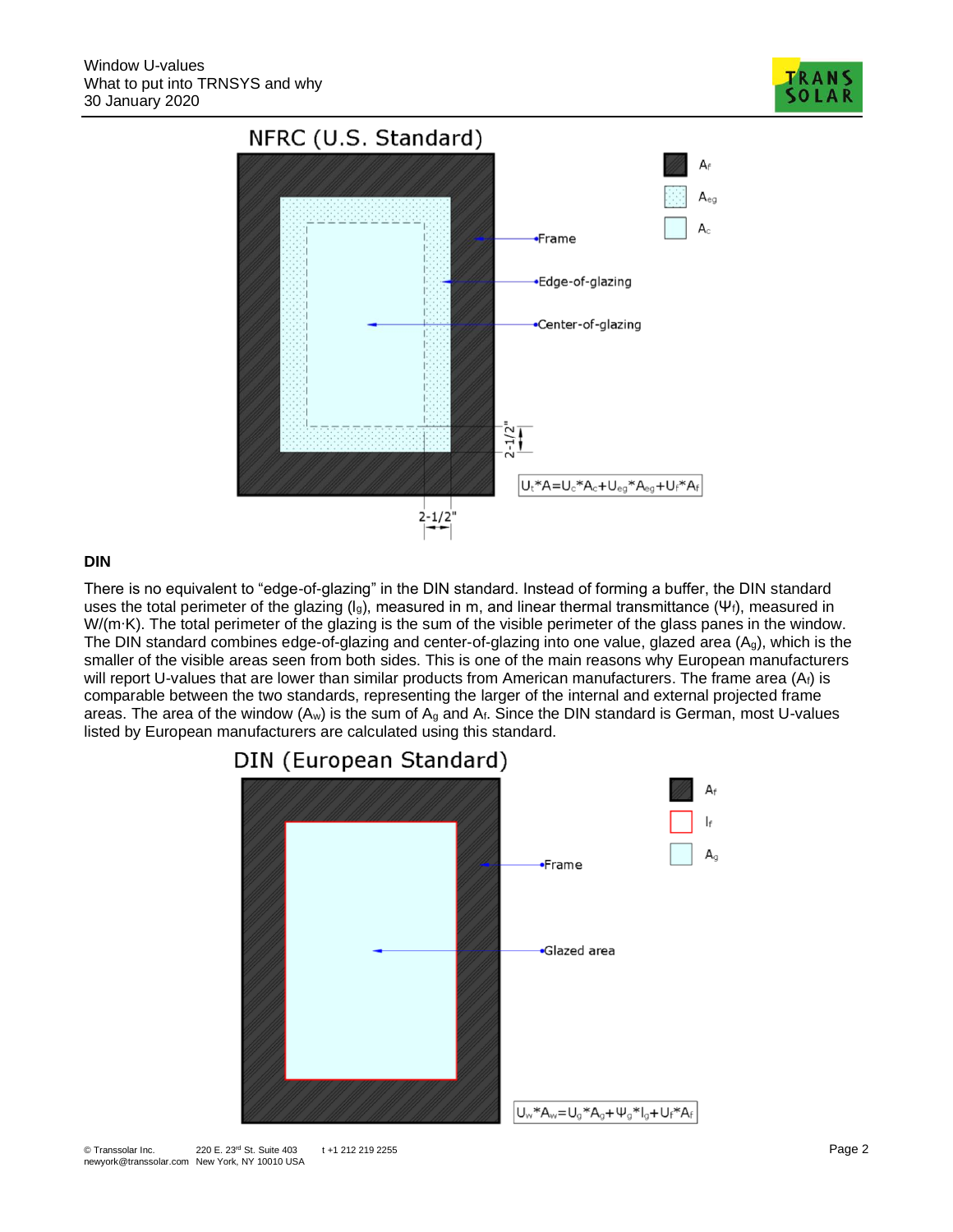

## **DIN**

There is no equivalent to "edge-of-glazing" in the DIN standard. Instead of forming a buffer, the DIN standard uses the total perimeter of the glazing ( $I_g$ ), measured in m, and linear thermal transmittance (Ψ<sub>f</sub>), measured in W/(m∙K). The total perimeter of the glazing is the sum of the visible perimeter of the glass panes in the window. The DIN standard combines edge-of-glazing and center-of-glazing into one value, glazed area (Ag), which is the smaller of the visible areas seen from both sides. This is one of the main reasons why European manufacturers will report U-values that are lower than similar products from American manufacturers. The frame area (At) is comparable between the two standards, representing the larger of the internal and external projected frame areas. The area of the window  $(A_w)$  is the sum of  $A_g$  and  $A_f$ . Since the DIN standard is German, most U-values listed by European manufacturers are calculated using this standard.



# DIN (European Standard)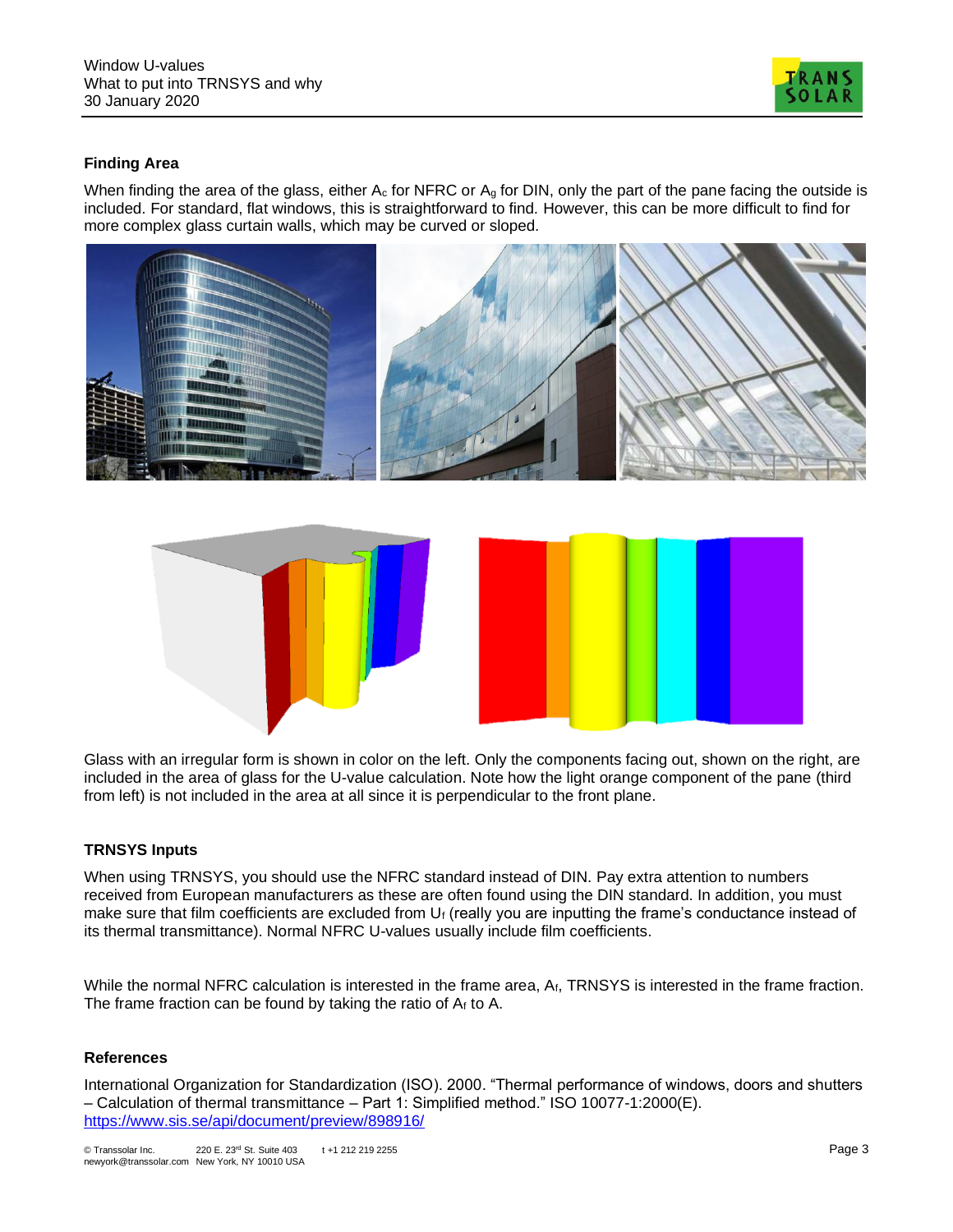

## **Finding Area**

When finding the area of the glass, either  $A_c$  for NFRC or  $A_q$  for DIN, only the part of the pane facing the outside is included. For standard, flat windows, this is straightforward to find. However, this can be more difficult to find for more complex glass curtain walls, which may be curved or sloped.



Glass with an irregular form is shown in color on the left. Only the components facing out, shown on the right, are included in the area of glass for the U-value calculation. Note how the light orange component of the pane (third from left) is not included in the area at all since it is perpendicular to the front plane.

## **TRNSYS Inputs**

When using TRNSYS, you should use the NFRC standard instead of DIN. Pay extra attention to numbers received from European manufacturers as these are often found using the DIN standard. In addition, you must make sure that film coefficients are excluded from  $U_f$  (really you are inputting the frame's conductance instead of its thermal transmittance). Normal NFRC U-values usually include film coefficients.

While the normal NFRC calculation is interested in the frame area, A<sub>f</sub>, TRNSYS is interested in the frame fraction. The frame fraction can be found by taking the ratio of  $A_f$  to A.

#### **References**

International Organization for Standardization (ISO). 2000. "Thermal performance of windows, doors and shutters – Calculation of thermal transmittance – Part 1: Simplified method." ISO 10077-1:2000(E). <https://www.sis.se/api/document/preview/898916/>